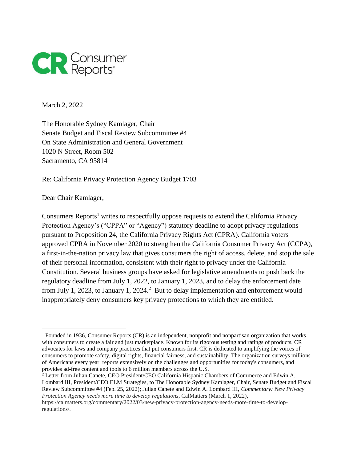

March 2, 2022

The Honorable Sydney Kamlager, Chair Senate Budget and Fiscal Review Subcommittee #4 On State Administration and General Government 1020 N Street, Room 502 Sacramento, CA 95814

Re: California Privacy Protection Agency Budget 1703

Dear Chair Kamlager,

 $\overline{a}$ 

Consumers Reports<sup>1</sup> writes to respectfully oppose requests to extend the California Privacy Protection Agency's ("CPPA" or "Agency") statutory deadline to adopt privacy regulations pursuant to Proposition 24, the California Privacy Rights Act (CPRA). California voters approved CPRA in November 2020 to strengthen the California Consumer Privacy Act (CCPA), a first-in-the-nation privacy law that gives consumers the right of access, delete, and stop the sale of their personal information, consistent with their right to privacy under the California Constitution. Several business groups have asked for legislative amendments to push back the regulatory deadline from July 1, 2022, to January 1, 2023, and to delay the enforcement date from July 1, 2023, to January 1, 2024.<sup>2</sup> But to delay implementation and enforcement would inappropriately deny consumers key privacy protections to which they are entitled.

<sup>2</sup> Letter from Julian Canete, CEO President/CEO California Hispanic Chambers of Commerce and Edwin A. Lombard III, President/CEO ELM Strategies, to The Honorable Sydney Kamlager, Chair, Senate Budget and Fiscal Review Subcommittee #4 (Feb. 25, 2022); Julian Canete and Edwin A. Lombard III, *Commentary: New Privacy Protection Agency needs more time to develop regulations*, CalMatters (March 1, 2022),

<sup>1</sup> Founded in 1936, Consumer Reports (CR) is an independent, nonprofit and nonpartisan organization that works with consumers to create a fair and just marketplace. Known for its rigorous testing and ratings of products, CR advocates for laws and company practices that put consumers first. CR is dedicated to amplifying the voices of consumers to promote safety, digital rights, financial fairness, and sustainability. The organization surveys millions of Americans every year, reports extensively on the challenges and opportunities for today's consumers, and provides ad-free content and tools to 6 million members across the U.S.

https://calmatters.org/commentary/2022/03/new-privacy-protection-agency-needs-more-time-to-developregulations/.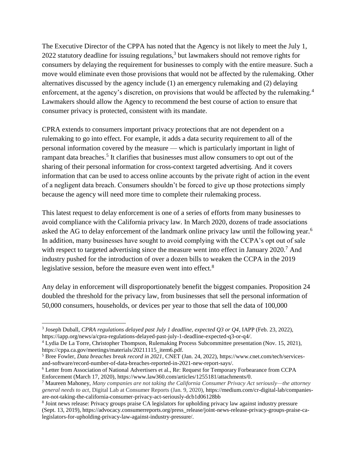The Executive Director of the CPPA has noted that the Agency is not likely to meet the July 1, 2022 statutory deadline for issuing regulations,<sup>3</sup> but lawmakers should not remove rights for consumers by delaying the requirement for businesses to comply with the entire measure. Such a move would eliminate even those provisions that would not be affected by the rulemaking. Other alternatives discussed by the agency include (1) an emergency rulemaking and (2) delaying enforcement, at the agency's discretion, on provisions that would be affected by the rulemaking.<sup>4</sup> Lawmakers should allow the Agency to recommend the best course of action to ensure that consumer privacy is protected, consistent with its mandate.

CPRA extends to consumers important privacy protections that are not dependent on a rulemaking to go into effect. For example, it adds a data security requirement to all of the personal information covered by the measure — which is particularly important in light of rampant data breaches.<sup>5</sup> It clarifies that businesses must allow consumers to opt out of the sharing of their personal information for cross-context targeted advertising. And it covers information that can be used to access online accounts by the private right of action in the event of a negligent data breach. Consumers shouldn't be forced to give up those protections simply because the agency will need more time to complete their rulemaking process.

This latest request to delay enforcement is one of a series of efforts from many businesses to avoid compliance with the California privacy law. In March 2020, dozens of trade associations asked the AG to delay enforcement of the landmark online privacy law until the following year.<sup>6</sup> In addition, many businesses have sought to avoid complying with the CCPA's opt out of sale with respect to targeted advertising since the measure went into effect in January 2020.<sup>7</sup> And industry pushed for the introduction of over a dozen bills to weaken the CCPA in the 2019 legislative session, before the measure even went into effect.<sup>8</sup>

Any delay in enforcement will disproportionately benefit the biggest companies. Proposition 24 doubled the threshold for the privacy law, from businesses that sell the personal information of 50,000 consumers, households, or devices per year to those that sell the data of 100,000

 $\overline{a}$ 

<sup>3</sup> Joseph Duball, *CPRA regulations delayed past July 1 deadline, expected Q3 or Q4*, IAPP (Feb. 23, 2022), https://iapp.org/news/a/cpra-regulations-delayed-past-july-1-deadline-expected-q3-or-q4/.

<sup>4</sup> Lydia De La Torre, Christopher Thompson, Rulemaking Process Subcommittee presentation (Nov. 15, 2021), https://cppa.ca.gov/meetings/materials/20211115 item6.pdf.

<sup>5</sup> Bree Fowler, *Data breaches break record in 2021*, CNET (Jan. 24, 2022), https://www.cnet.com/tech/servicesand-software/record-number-of-data-breaches-reported-in-2021-new-report-says/.

<sup>6</sup> Letter from Association of National Advertisers et al., Re: Request for Temporary Forbearance from CCPA Enforcement (March 17, 2020), https://www.law360.com/articles/1255181/attachments/0.

<sup>7</sup> Maureen Mahoney, *Many companies are not taking the California Consumer Privacy Act seriously—the attorney general needs to act*, Digital Lab at Consumer Reports (Jan. 9, 2020), https://medium.com/cr-digital-lab/companiesare-not-taking-the-california-consumer-privacy-act-seriously-dcb1d06128bb

<sup>&</sup>lt;sup>8</sup> Joint news release: Privacy groups praise CA legislators for upholding privacy law against industry pressure (Sept. 13, 2019), https://advocacy.consumerreports.org/press\_release/joint-news-release-privacy-groups-praise-calegislators-for-upholding-privacy-law-against-industry-pressure/.